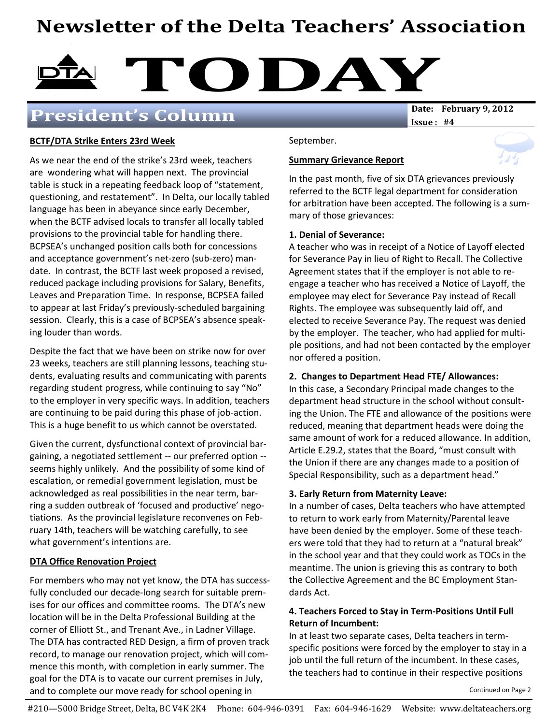# Newsletter of the Delta Teachers' Association



### President's Column

Issue : #4

#### BCTF/DTA Strike Enters 23rd Week

As we near the end of the strike's 23rd week, teachers are wondering what will happen next. The provincial table is stuck in a repeating feedback loop of "statement, questioning, and restatement". In Delta, our locally tabled language has been in abeyance since early December, when the BCTF advised locals to transfer all locally tabled provisions to the provincial table for handling there. BCPSEA's unchanged position calls both for concessions and acceptance government's net-zero (sub-zero) mandate. In contrast, the BCTF last week proposed a revised, reduced package including provisions for Salary, Benefits, Leaves and Preparation Time. In response, BCPSEA failed to appear at last Friday's previously-scheduled bargaining session. Clearly, this is a case of BCPSEA's absence speaking louder than words.

Despite the fact that we have been on strike now for over 23 weeks, teachers are still planning lessons, teaching students, evaluating results and communicating with parents regarding student progress, while continuing to say "No" to the employer in very specific ways. In addition, teachers are continuing to be paid during this phase of job-action. This is a huge benefit to us which cannot be overstated.

Given the current, dysfunctional context of provincial bargaining, a negotiated settlement -- our preferred option - seems highly unlikely. And the possibility of some kind of escalation, or remedial government legislation, must be acknowledged as real possibilities in the near term, barring a sudden outbreak of 'focused and productive' negotiations. As the provincial legislature reconvenes on February 14th, teachers will be watching carefully, to see what government's intentions are.

#### DTA Office Renovation Project

For members who may not yet know, the DTA has successfully concluded our decade-long search for suitable premises for our offices and committee rooms. The DTA's new location will be in the Delta Professional Building at the corner of Elliott St., and Trenant Ave., in Ladner Village. The DTA has contracted RED Design, a firm of proven track record, to manage our renovation project, which will commence this month, with completion in early summer. The goal for the DTA is to vacate our current premises in July, and to complete our move ready for school opening in

Summary Grievance Report

September.

In the past month, five of six DTA grievances previously referred to the BCTF legal department for consideration for arbitration have been accepted. The following is a summary of those grievances:

#### 1. Denial of Severance:

A teacher who was in receipt of a Notice of Layoff elected for Severance Pay in lieu of Right to Recall. The Collective Agreement states that if the employer is not able to reengage a teacher who has received a Notice of Layoff, the employee may elect for Severance Pay instead of Recall Rights. The employee was subsequently laid off, and elected to receive Severance Pay. The request was denied by the employer. The teacher, who had applied for multiple positions, and had not been contacted by the employer nor offered a position.

#### 2. Changes to Department Head FTE/ Allowances:

In this case, a Secondary Principal made changes to the department head structure in the school without consulting the Union. The FTE and allowance of the positions were reduced, meaning that department heads were doing the same amount of work for a reduced allowance. In addition, Article E.29.2, states that the Board, "must consult with the Union if there are any changes made to a position of Special Responsibility, such as a department head."

#### 3. Early Return from Maternity Leave:

In a number of cases, Delta teachers who have attempted to return to work early from Maternity/Parental leave have been denied by the employer. Some of these teachers were told that they had to return at a "natural break" in the school year and that they could work as TOCs in the meantime. The union is grieving this as contrary to both the Collective Agreement and the BC Employment Standards Act.

#### 4. Teachers Forced to Stay in Term-Positions Until Full Return of Incumbent:

In at least two separate cases, Delta teachers in termspecific positions were forced by the employer to stay in a job until the full return of the incumbent. In these cases, the teachers had to continue in their respective positions